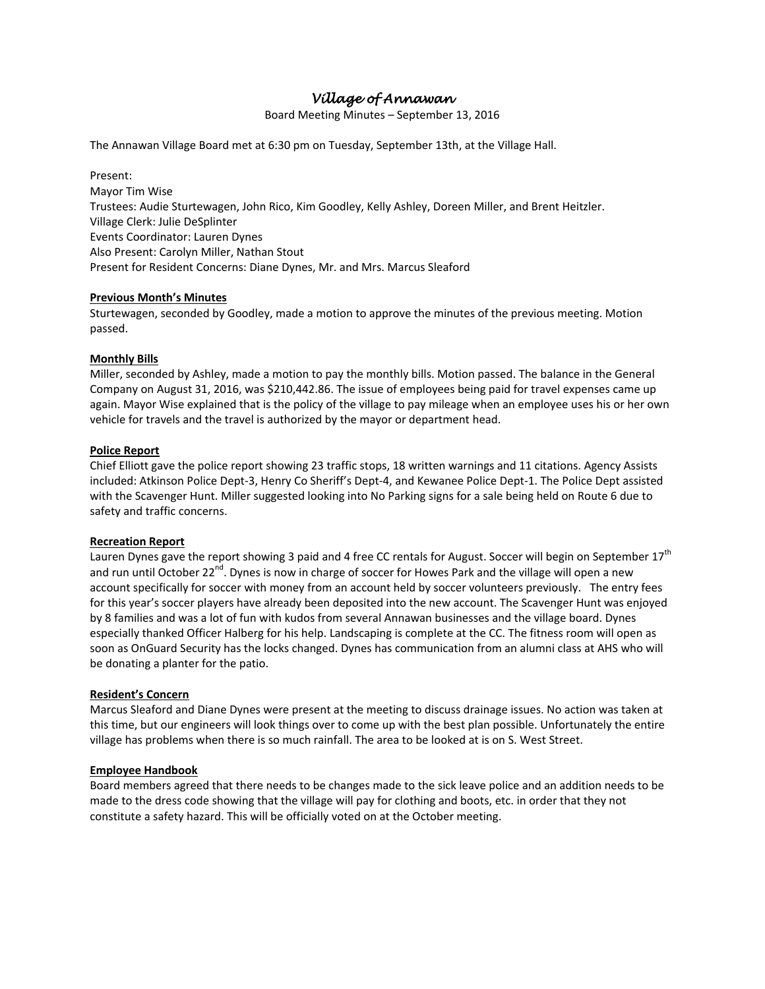# *Village of Annawan*

Board Meeting Minutes – September 13, 2016

The Annawan Village Board met at 6:30 pm on Tuesday, September 13th, at the Village Hall.

Present: Mayor Tim Wise Trustees: Audie Sturtewagen, John Rico, Kim Goodley, Kelly Ashley, Doreen Miller, and Brent Heitzler. Village Clerk: Julie DeSplinter Events Coordinator: Lauren Dynes Also Present: Carolyn Miller, Nathan Stout Present for Resident Concerns: Diane Dynes, Mr. and Mrs. Marcus Sleaford

# **Previous Month's Minutes**

Sturtewagen, seconded by Goodley, made a motion to approve the minutes of the previous meeting. Motion passed.

# **Monthly Bills**

Miller, seconded by Ashley, made a motion to pay the monthly bills. Motion passed. The balance in the General Company on August 31, 2016, was \$210,442.86. The issue of employees being paid for travel expenses came up again. Mayor Wise explained that is the policy of the village to pay mileage when an employee uses his or her own vehicle for travels and the travel is authorized by the mayor or department head.

# **Police Report**

Chief Elliott gave the police report showing 23 traffic stops, 18 written warnings and 11 citations. Agency Assists included: Atkinson Police Dept-3, Henry Co Sheriff's Dept-4, and Kewanee Police Dept-1. The Police Dept assisted with the Scavenger Hunt. Miller suggested looking into No Parking signs for a sale being held on Route 6 due to safety and traffic concerns.

## **Recreation Report**

Lauren Dynes gave the report showing 3 paid and 4 free CC rentals for August. Soccer will begin on September  $17<sup>th</sup>$ and run until October 22<sup>nd</sup>. Dynes is now in charge of soccer for Howes Park and the village will open a new account specifically for soccer with money from an account held by soccer volunteers previously. The entry fees for this year's soccer players have already been deposited into the new account. The Scavenger Hunt was enjoyed by 8 families and was a lot of fun with kudos from several Annawan businesses and the village board. Dynes especially thanked Officer Halberg for his help. Landscaping is complete at the CC. The fitness room will open as soon as OnGuard Security has the locks changed. Dynes has communication from an alumni class at AHS who will be donating a planter for the patio.

## **Resident's Concern**

Marcus Sleaford and Diane Dynes were present at the meeting to discuss drainage issues. No action was taken at this time, but our engineers will look things over to come up with the best plan possible. Unfortunately the entire village has problems when there is so much rainfall. The area to be looked at is on S. West Street.

## **Employee Handbook**

Board members agreed that there needs to be changes made to the sick leave police and an addition needs to be made to the dress code showing that the village will pay for clothing and boots, etc. in order that they not constitute a safety hazard. This will be officially voted on at the October meeting.